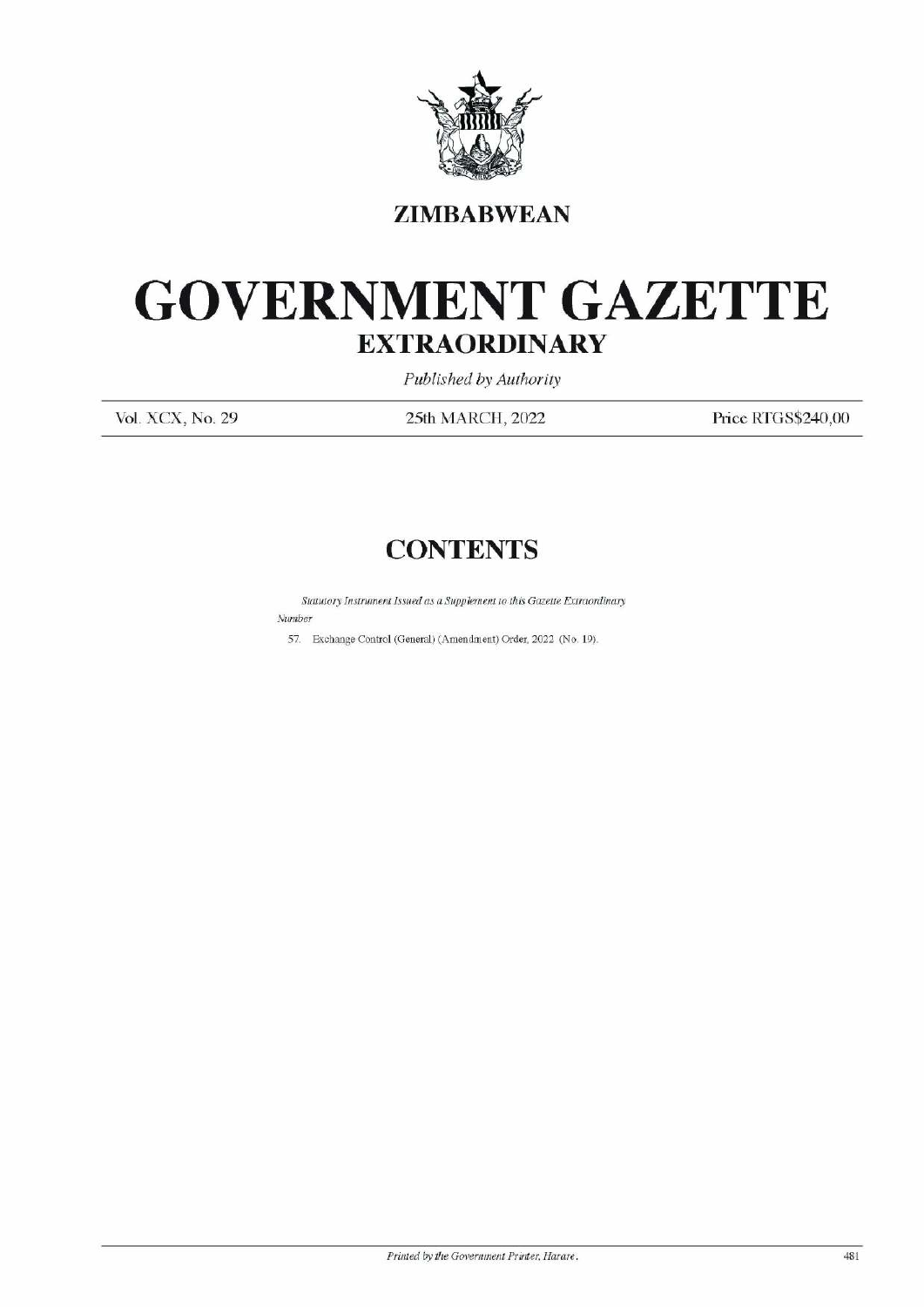

## **ZIMBABWEAN**

## GOVERNMENT GAZETTE EXTRAORDINARY EXTRAOR EXTRAOR  $\text{GOVERNME} \begin{minipage}{0.5\textwidth} \begin{tabular}{c} \multicolumn{2}{c}{\textbf{GOVERNME}}\\ \hline \textbf{EXYRAO} \end{tabular} \end{minipage}$

Published by Authority

Vol. XCX, No. 29 25th MARCH, 2022 Price RTGS\$240,00

## **CONTENTS**

Statutory Instrument Issued as a Supplement to this Gazette Extraordinary Number CONTE<br>
Statutory Instrument Issued as a Supplem<br>
ST. Exchange Control (General) (Amendm

57. Exchange Control (General) (Amendment) Order, 2022 (No. 19).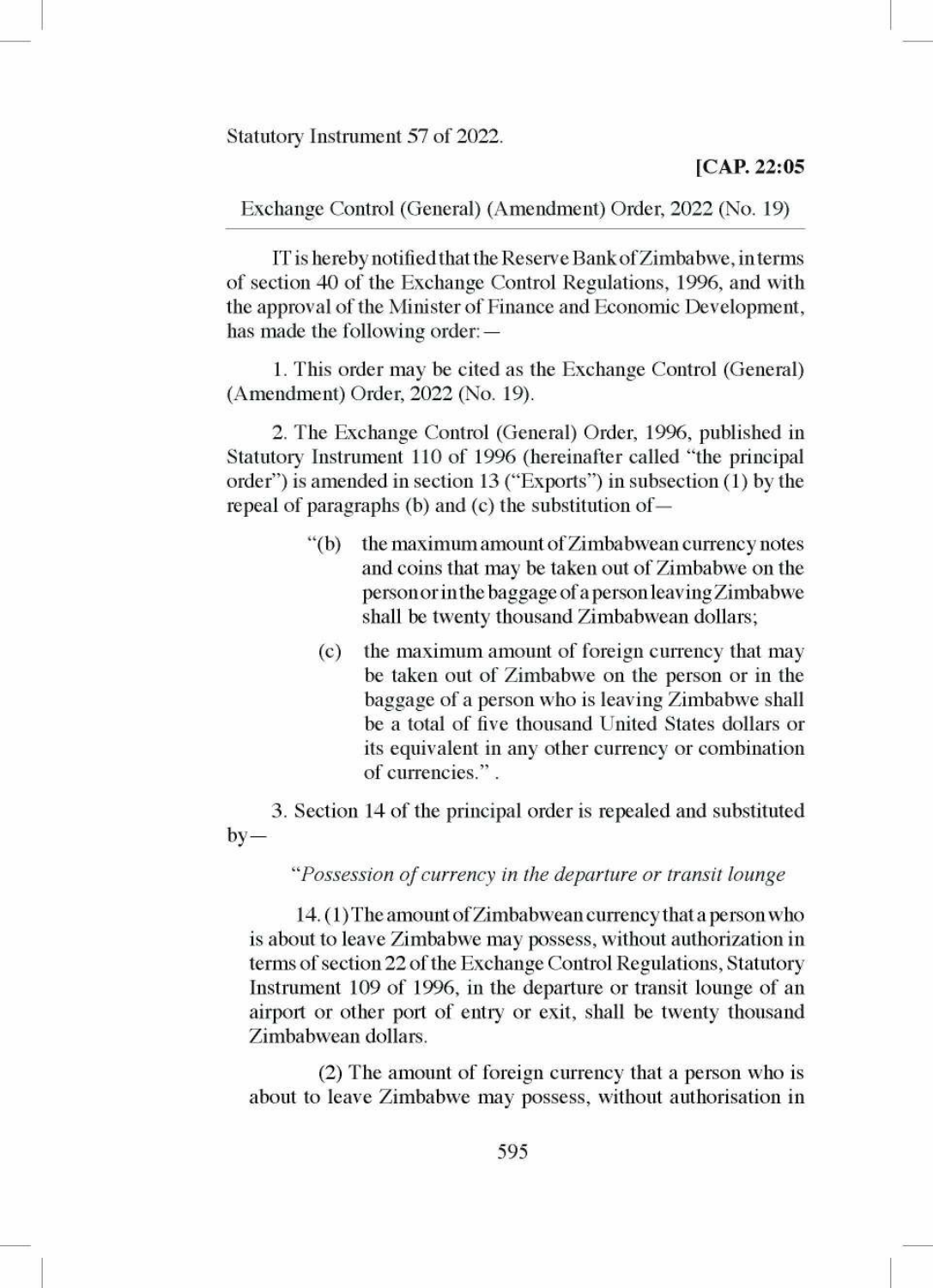Statutory Instrument 57 of 2022. Statutory Instrument 57 of 2022.<br>Exchange Control (General) (Ar

Exchange Control (General) (Amendment) Order, 2022 (No. 19)

IT is hereby notified that the Reserve Bank of Zimbabwe, in terms of section 40 of the Exchange Control Regulations, 1996, and with the approval of the Minister of Finance and Economic Development, has made the following order: —

1. This order may be cited as the Exchange Control (General) (Amendment) Order, 2022 (No. 19).

2. The Exchange Control (General) Order, 1996, published in Statutory Instrument 110 of 1996 (hereinafter called "the principal order') is amended in section 13 ("Exports") in subsection (1) by the repeal of paragraphs (b) and (c) the substitution of —

- "(b) the maximum amount of Zimbabwean currency notes and coins that may be taken out of Zimbabwe on the personor inthe baggage of a person leaving Zimbabwe shall be twenty thousand Zimbabwean dollars;
	- (c) the maximum amount of foreign currency that may be taken out of Zimbabwe on the person or in the baggage of a person who is leaving Zimbabwe shall be a total of five thousand United States dollars or its equivalent in any other currency or combination of currencies." .

3. Section 14 of the principal order is repealed and substituted by—

## "Possession of currency in the departure or transit lounge

14. (1) The amount of Zimbabwean currency that a person who is about to leave Zimbabwe may possess, without authorization in terms of section 22 of the Exchange Control Regulations, Statutory Instrument 109 of 1996, in the departure or transit lounge of an airport or other port of entry or exit, shall be twenty thousand Zimbabwean dollars.

(2) The amount of foreign currency that a person who is about to leave Zimbabwe may possess, without authorisation in